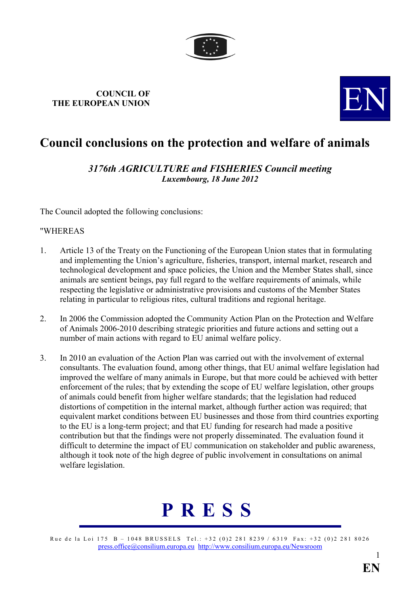

## COUNCIL OF COUNCIL OF THE EUROPEAN UNION



## Council conclusions on the protection and welfare of animals

3176th AGRICULTURE and FISHERIES Council meeting Luxembourg, 18 June 2012

The Council adopted the following conclusions:

## "WHEREAS

- 1. Article 13 of the Treaty on the Functioning of the European Union states that in formulating and implementing the Union's agriculture, fisheries, transport, internal market, research and technological development and space policies, the Union and the Member States shall, since animals are sentient beings, pay full regard to the welfare requirements of animals, while respecting the legislative or administrative provisions and customs of the Member States relating in particular to religious rites, cultural traditions and regional heritage.
- 2. In 2006 the Commission adopted the Community Action Plan on the Protection and Welfare of Animals 2006-2010 describing strategic priorities and future actions and setting out a number of main actions with regard to EU animal welfare policy.
- 3. In 2010 an evaluation of the Action Plan was carried out with the involvement of external consultants. The evaluation found, among other things, that EU animal welfare legislation had improved the welfare of many animals in Europe, but that more could be achieved with better enforcement of the rules; that by extending the scope of EU welfare legislation, other groups of animals could benefit from higher welfare standards; that the legislation had reduced distortions of competition in the internal market, although further action was required; that equivalent market conditions between EU businesses and those from third countries exporting to the EU is a long-term project; and that EU funding for research had made a positive contribution but that the findings were not properly disseminated. The evaluation found it difficult to determine the impact of EU communication on stakeholder and public awareness, although it took note of the high degree of public involvement in consultations on animal welfare legislation.



Rue de la Loi 175 B – 1048 BRUSSELS Tel.: +32 (0)2 281 8239 / 6319 Fax: +32 (0)2 281 8026 [press.office@consilium.europa.eu](mailto:press.office@consilium.eu.int) [http://www.consilium.europa.eu/Newsroom](http://ue.eu.int/Newsroom)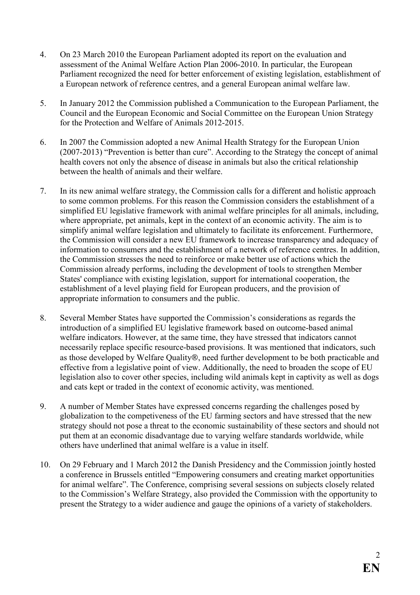- 4. On 23 March 2010 the European Parliament adopted its report on the evaluation and assessment of the Animal Welfare Action Plan 2006-2010. In particular, the European Parliament recognized the need for better enforcement of existing legislation, establishment of a European network of reference centres, and a general European animal welfare law.
- 5. In January 2012 the Commission published a Communication to the European Parliament, the Council and the European Economic and Social Committee on the European Union Strategy for the Protection and Welfare of Animals 2012-2015.
- 6. In 2007 the Commission adopted a new Animal Health Strategy for the European Union (2007-2013) "Prevention is better than cure". According to the Strategy the concept of animal health covers not only the absence of disease in animals but also the critical relationship between the health of animals and their welfare.
- 7. In its new animal welfare strategy, the Commission calls for a different and holistic approach to some common problems. For this reason the Commission considers the establishment of a simplified EU legislative framework with animal welfare principles for all animals, including, where appropriate, pet animals, kept in the context of an economic activity. The aim is to simplify animal welfare legislation and ultimately to facilitate its enforcement. Furthermore, the Commission will consider a new EU framework to increase transparency and adequacy of information to consumers and the establishment of a network of reference centres. In addition, the Commission stresses the need to reinforce or make better use of actions which the Commission already performs, including the development of tools to strengthen Member States' compliance with existing legislation, support for international cooperation, the establishment of a level playing field for European producers, and the provision of appropriate information to consumers and the public.
- 8. Several Member States have supported the Commission's considerations as regards the introduction of a simplified EU legislative framework based on outcome-based animal welfare indicators. However, at the same time, they have stressed that indicators cannot necessarily replace specific resource-based provisions. It was mentioned that indicators, such as those developed by Welfare Quality®, need further development to be both practicable and effective from a legislative point of view. Additionally, the need to broaden the scope of EU legislation also to cover other species, including wild animals kept in captivity as well as dogs and cats kept or traded in the context of economic activity, was mentioned.
- 9. A number of Member States have expressed concerns regarding the challenges posed by globalization to the competiveness of the EU farming sectors and have stressed that the new strategy should not pose a threat to the economic sustainability of these sectors and should not put them at an economic disadvantage due to varying welfare standards worldwide, while others have underlined that animal welfare is a value in itself.
- 10. On 29 February and 1 March 2012 the Danish Presidency and the Commission jointly hosted a conference in Brussels entitled "Empowering consumers and creating market opportunities for animal welfare". The Conference, comprising several sessions on subjects closely related to the Commission's Welfare Strategy, also provided the Commission with the opportunity to present the Strategy to a wider audience and gauge the opinions of a variety of stakeholders.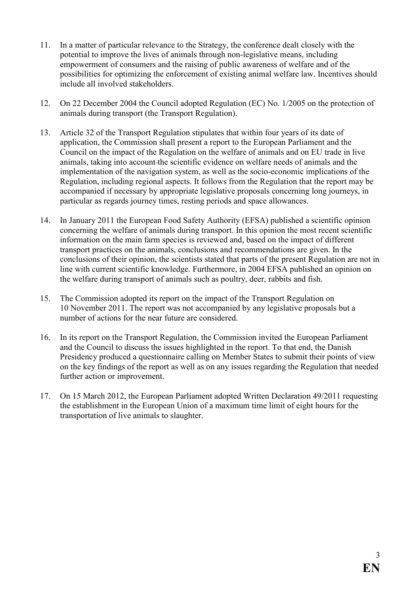- 11. In a matter of particular relevance to the Strategy, the conference dealt closely with the potential to improve the lives of animals through non-legislative means, including empowerment of consumers and the raising of public awareness of welfare and of the possibilities for optimizing the enforcement of existing animal welfare law. Incentives should include all involved stakeholders.
- 12. On 22 December 2004 the Council adopted Regulation (EC) No. 1/2005 on the protection of animals during transport (the Transport Regulation).
- 13. Article 32 of the Transport Regulation stipulates that within four years of its date of application, the Commission shall present a report to the European Parliament and the Council on the impact of the Regulation on the welfare of animals and on EU trade in live animals, taking into account the scientific evidence on welfare needs of animals and the implementation of the navigation system, as well as the socio-economic implications of the Regulation, including regional aspects. It follows from the Regulation that the report may be accompanied if necessary by appropriate legislative proposals concerning long journeys, in particular as regards journey times, resting periods and space allowances.
- 14. In January 2011 the European Food Safety Authority (EFSA) published a scientific opinion concerning the welfare of animals during transport. In this opinion the most recent scientific information on the main farm species is reviewed and, based on the impact of different transport practices on the animals, conclusions and recommendations are given. In the conclusions of their opinion, the scientists stated that parts of the present Regulation are not in line with current scientific knowledge. Furthermore, in 2004 EFSA published an opinion on the welfare during transport of animals such as poultry, deer, rabbits and fish.
- 15. The Commission adopted its report on the impact of the Transport Regulation on 10 November 2011. The report was not accompanied by any legislative proposals but a number of actions for the near future are considered.
- 16. In its report on the Transport Regulation, the Commission invited the European Parliament and the Council to discuss the issues highlighted in the report. To that end, the Danish Presidency produced a questionnaire calling on Member States to submit their points of view on the key findings of the report as well as on any issues regarding the Regulation that needed further action or improvement.
- 17. On 15 March 2012, the European Parliament adopted Written Declaration 49/2011 requesting the establishment in the European Union of a maximum time limit of eight hours for the transportation of live animals to slaughter.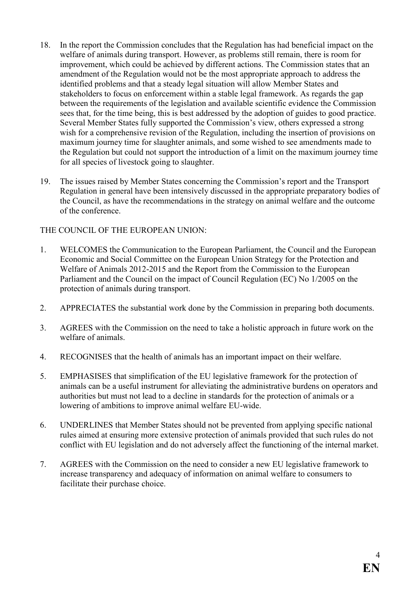- 18. In the report the Commission concludes that the Regulation has had beneficial impact on the welfare of animals during transport. However, as problems still remain, there is room for improvement, which could be achieved by different actions. The Commission states that an amendment of the Regulation would not be the most appropriate approach to address the identified problems and that a steady legal situation will allow Member States and stakeholders to focus on enforcement within a stable legal framework. As regards the gap between the requirements of the legislation and available scientific evidence the Commission sees that, for the time being, this is best addressed by the adoption of guides to good practice. Several Member States fully supported the Commission's view, others expressed a strong wish for a comprehensive revision of the Regulation, including the insertion of provisions on maximum journey time for slaughter animals, and some wished to see amendments made to the Regulation but could not support the introduction of a limit on the maximum journey time for all species of livestock going to slaughter.
- 19. The issues raised by Member States concerning the Commission's report and the Transport Regulation in general have been intensively discussed in the appropriate preparatory bodies of the Council, as have the recommendations in the strategy on animal welfare and the outcome of the conference.

## THE COUNCIL OF THE EUROPEAN UNION:

- 1. WELCOMES the Communication to the European Parliament, the Council and the European Economic and Social Committee on the European Union Strategy for the Protection and Welfare of Animals 2012-2015 and the Report from the Commission to the European Parliament and the Council on the impact of Council Regulation (EC) No 1/2005 on the protection of animals during transport.
- 2. APPRECIATES the substantial work done by the Commission in preparing both documents.
- 3. AGREES with the Commission on the need to take a holistic approach in future work on the welfare of animals.
- 4. RECOGNISES that the health of animals has an important impact on their welfare.
- 5. EMPHASISES that simplification of the EU legislative framework for the protection of animals can be a useful instrument for alleviating the administrative burdens on operators and authorities but must not lead to a decline in standards for the protection of animals or a lowering of ambitions to improve animal welfare EU-wide.
- 6. UNDERLINES that Member States should not be prevented from applying specific national rules aimed at ensuring more extensive protection of animals provided that such rules do not conflict with EU legislation and do not adversely affect the functioning of the internal market.
- 7. AGREES with the Commission on the need to consider a new EU legislative framework to increase transparency and adequacy of information on animal welfare to consumers to facilitate their purchase choice.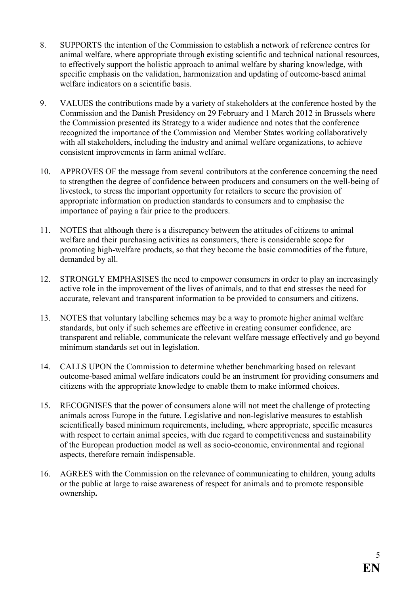- 8. SUPPORTS the intention of the Commission to establish a network of reference centres for animal welfare, where appropriate through existing scientific and technical national resources, to effectively support the holistic approach to animal welfare by sharing knowledge, with specific emphasis on the validation, harmonization and updating of outcome-based animal welfare indicators on a scientific basis.
- 9. VALUES the contributions made by a variety of stakeholders at the conference hosted by the Commission and the Danish Presidency on 29 February and 1 March 2012 in Brussels where the Commission presented its Strategy to a wider audience and notes that the conference recognized the importance of the Commission and Member States working collaboratively with all stakeholders, including the industry and animal welfare organizations, to achieve consistent improvements in farm animal welfare.
- 10. APPROVES OF the message from several contributors at the conference concerning the need to strengthen the degree of confidence between producers and consumers on the well-being of livestock, to stress the important opportunity for retailers to secure the provision of appropriate information on production standards to consumers and to emphasise the importance of paying a fair price to the producers.
- 11. NOTES that although there is a discrepancy between the attitudes of citizens to animal welfare and their purchasing activities as consumers, there is considerable scope for promoting high-welfare products, so that they become the basic commodities of the future, demanded by all.
- 12. STRONGLY EMPHASISES the need to empower consumers in order to play an increasingly active role in the improvement of the lives of animals, and to that end stresses the need for accurate, relevant and transparent information to be provided to consumers and citizens.
- 13. NOTES that voluntary labelling schemes may be a way to promote higher animal welfare standards, but only if such schemes are effective in creating consumer confidence, are transparent and reliable, communicate the relevant welfare message effectively and go beyond minimum standards set out in legislation.
- 14. CALLS UPON the Commission to determine whether benchmarking based on relevant outcome-based animal welfare indicators could be an instrument for providing consumers and citizens with the appropriate knowledge to enable them to make informed choices.
- 15. RECOGNISES that the power of consumers alone will not meet the challenge of protecting animals across Europe in the future. Legislative and non-legislative measures to establish scientifically based minimum requirements, including, where appropriate, specific measures with respect to certain animal species, with due regard to competitiveness and sustainability of the European production model as well as socio-economic, environmental and regional aspects, therefore remain indispensable.
- 16. AGREES with the Commission on the relevance of communicating to children, young adults or the public at large to raise awareness of respect for animals and to promote responsible ownership.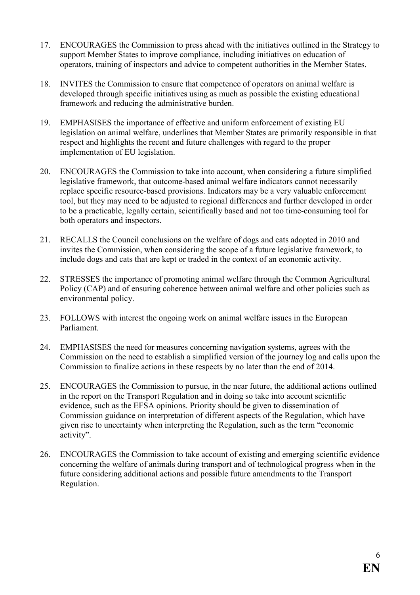- 17. ENCOURAGES the Commission to press ahead with the initiatives outlined in the Strategy to support Member States to improve compliance, including initiatives on education of operators, training of inspectors and advice to competent authorities in the Member States.
- 18. INVITES the Commission to ensure that competence of operators on animal welfare is developed through specific initiatives using as much as possible the existing educational framework and reducing the administrative burden.
- 19. EMPHASISES the importance of effective and uniform enforcement of existing EU legislation on animal welfare, underlines that Member States are primarily responsible in that respect and highlights the recent and future challenges with regard to the proper implementation of EU legislation.
- 20. ENCOURAGES the Commission to take into account, when considering a future simplified legislative framework, that outcome-based animal welfare indicators cannot necessarily replace specific resource-based provisions. Indicators may be a very valuable enforcement tool, but they may need to be adjusted to regional differences and further developed in order to be a practicable, legally certain, scientifically based and not too time-consuming tool for both operators and inspectors.
- 21. RECALLS the Council conclusions on the welfare of dogs and cats adopted in 2010 and invites the Commission, when considering the scope of a future legislative framework, to include dogs and cats that are kept or traded in the context of an economic activity.
- 22. STRESSES the importance of promoting animal welfare through the Common Agricultural Policy (CAP) and of ensuring coherence between animal welfare and other policies such as environmental policy.
- 23. FOLLOWS with interest the ongoing work on animal welfare issues in the European Parliament.
- 24. EMPHASISES the need for measures concerning navigation systems, agrees with the Commission on the need to establish a simplified version of the journey log and calls upon the Commission to finalize actions in these respects by no later than the end of 2014.
- 25. ENCOURAGES the Commission to pursue, in the near future, the additional actions outlined in the report on the Transport Regulation and in doing so take into account scientific evidence, such as the EFSA opinions. Priority should be given to dissemination of Commission guidance on interpretation of different aspects of the Regulation, which have given rise to uncertainty when interpreting the Regulation, such as the term "economic activity".
- 26. ENCOURAGES the Commission to take account of existing and emerging scientific evidence concerning the welfare of animals during transport and of technological progress when in the future considering additional actions and possible future amendments to the Transport Regulation.